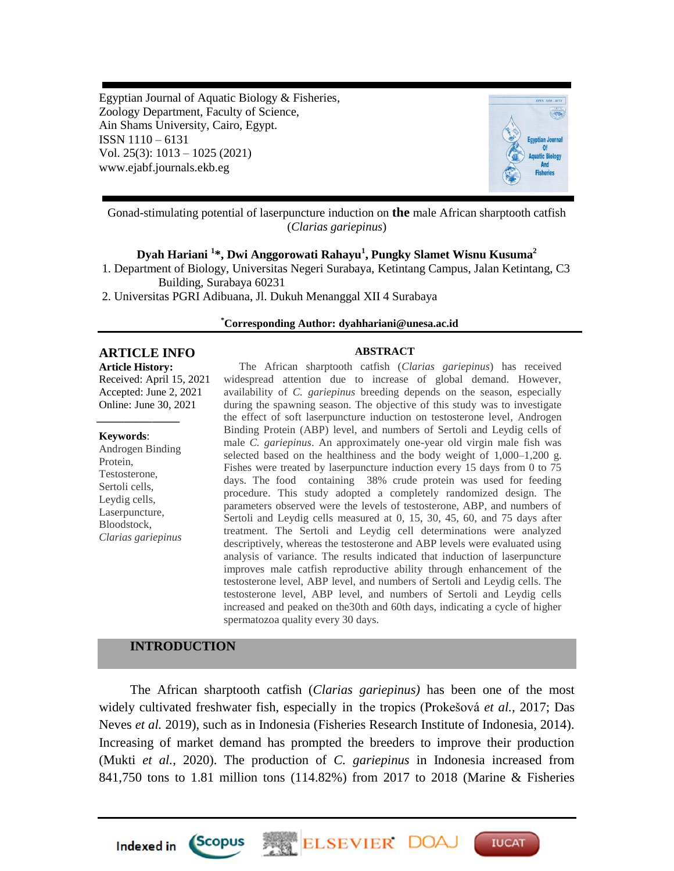Egyptian Journal of Aquatic Biology & Fisheries, Zoology Department, Faculty of Science, Ain Shams University, Cairo, Egypt. ISSN 1110 – 6131 Vol. 25(3): 1013 – 1025 (2021) www.ejabf.journals.ekb.eg



Gonad-stimulating potential of laserpuncture induction on **the** male African sharptooth catfish (*Clarias gariepinus*)

# **Dyah Hariani <sup>1</sup> \*, Dwi Anggorowati Rahayu<sup>1</sup> , Pungky Slamet Wisnu Kusuma<sup>2</sup>**

1. Department of Biology, Universitas Negeri Surabaya, Ketintang Campus, Jalan Ketintang, C3 Building, Surabaya 60231

2. Universitas PGRI Adibuana, Jl. Dukuh Menanggal XII 4 Surabaya

#### **\*Corresponding Author: dyahhariani@unesa.ac.id**

# **ARTICLE INFO ABSTRACT**

**Article History:**

Received: April 15, 2021 Accepted: June 2, 2021 Online: June 30, 2021 *\_\_\_\_\_\_\_\_\_\_\_\_\_\_\_*

#### **Keywords**:

Androgen Binding Protein, Testosterone, Sertoli cells, Leydig cells, Laserpuncture, Bloodstock, *Clarias gariepinus*

The African sharptooth catfish (*Clarias gariepinus*) has received widespread attention due to increase of global demand. However, availability of *C. gariepinus* breeding depends on the season, especially during the spawning season. The objective of this study was to investigate the effect of soft laserpuncture induction on testosterone level, Androgen Binding Protein (ABP) level, and numbers of Sertoli and Leydig cells of male *C. gariepinus*. An approximately one-year old virgin male fish was selected based on the healthiness and the body weight of  $1,000-1,200$  g. Fishes were treated by laserpuncture induction every 15 days from 0 to 75 days. The food containing 38% crude protein was used for feeding procedure. This study adopted a completely randomized design. The parameters observed were the levels of testosterone, ABP, and numbers of Sertoli and Leydig cells measured at 0, 15, 30, 45, 60, and 75 days after treatment. The Sertoli and Leydig cell determinations were analyzed descriptively, whereas the testosterone and ABP levels were evaluated using analysis of variance. The results indicated that induction of laserpuncture improves male catfish reproductive ability through enhancement of the testosterone level, ABP level, and numbers of Sertoli and Leydig cells. The testosterone level, ABP level, and numbers of Sertoli and Leydig cells increased and peaked on the30th and 60th days, indicating a cycle of higher spermatozoa quality every 30 days.

# **INTRODUCTION**

*Scopus* 

**Indexed** in

The African sharptooth catfish (*Clarias gariepinus)* has been one of the most widely cultivated freshwater fish, especially in the tropics (Prokešová *et al.*, 2017; Das Neves *et al.* 2019), such as in Indonesia (Fisheries Research Institute of Indonesia, 2014). Increasing of market demand has prompted the breeders to improve their production (Mukti *et al.*, 2020). The production of *C. gariepinus* in Indonesia increased from 841,750 tons to 1.81 million tons (114.82%) from 2017 to 2018 (Marine & Fisheries

**ELSEVIER DO** 

**IUCAT**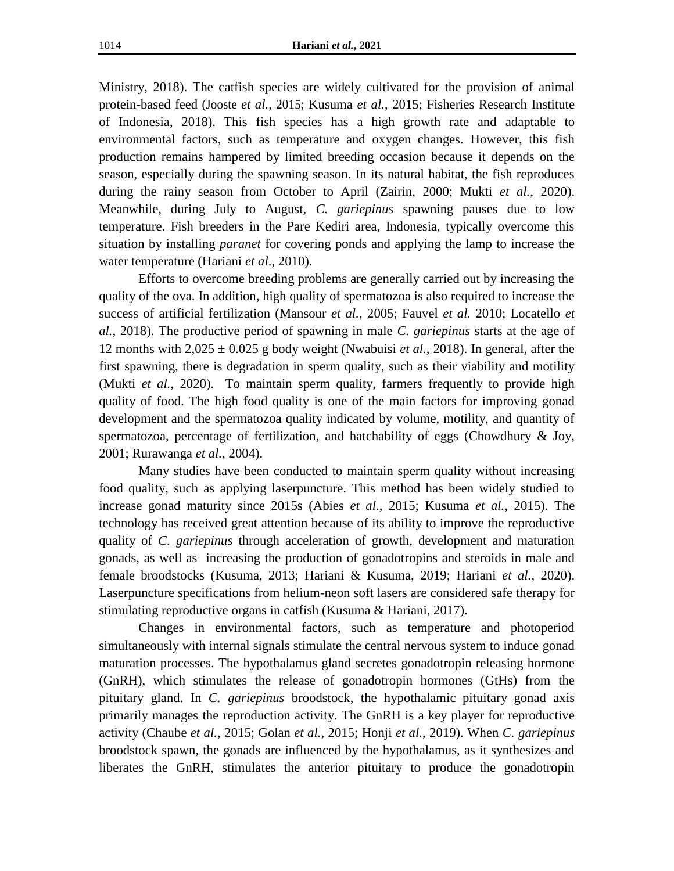Ministry, 2018). The catfish species are widely cultivated for the provision of animal protein-based feed (Jooste *et al.*, 2015; Kusuma *et al.*, 2015; Fisheries Research Institute of Indonesia, 2018). This fish species has a high growth rate and adaptable to environmental factors, such as temperature and oxygen changes. However, this fish production remains hampered by limited breeding occasion because it depends on the season, especially during the spawning season. In its natural habitat, the fish reproduces during the rainy season from October to April (Zairin, 2000; Mukti *et al.*, 2020). Meanwhile, during July to August, *C. gariepinus* spawning pauses due to low temperature. Fish breeders in the Pare Kediri area, Indonesia, typically overcome this situation by installing *paranet* for covering ponds and applying the lamp to increase the water temperature (Hariani *et al*., 2010).

Efforts to overcome breeding problems are generally carried out by increasing the quality of the ova. In addition, high quality of spermatozoa is also required to increase the success of artificial fertilization (Mansour *et al.*, 2005; Fauvel *et al.* 2010; Locatello *et al.,* 2018). The productive period of spawning in male *C. gariepinus* starts at the age of 12 months with  $2,025 \pm 0.025$  g body weight (Nwabuisi *et al.*, 2018). In general, after the first spawning, there is degradation in sperm quality, such as their viability and motility (Mukti *et al.*, 2020). To maintain sperm quality, farmers frequently to provide high quality of food. The high food quality is one of the main factors for improving gonad development and the spermatozoa quality indicated by volume, motility, and quantity of spermatozoa, percentage of fertilization, and hatchability of eggs (Chowdhury  $\&$  Joy, 2001; Rurawanga *et al.*, 2004).

Many studies have been conducted to maintain sperm quality without increasing food quality, such as applying laserpuncture. This method has been widely studied to increase gonad maturity since 2015s (Abies *et al.*, 2015; Kusuma *et al.*, 2015). The technology has received great attention because of its ability to improve the reproductive quality of *C. gariepinus* through acceleration of growth, development and maturation gonads, as well as increasing the production of gonadotropins and steroids in male and female broodstocks (Kusuma, 2013; Hariani & Kusuma, 2019; Hariani *et al.*, 2020). Laserpuncture specifications from helium-neon soft lasers are considered safe therapy for stimulating reproductive organs in catfish (Kusuma & Hariani, 2017).

Changes in environmental factors, such as temperature and photoperiod simultaneously with internal signals stimulate the central nervous system to induce gonad maturation processes. The hypothalamus gland secretes gonadotropin releasing hormone (GnRH), which stimulates the release of gonadotropin hormones (GtHs) from the pituitary gland. In *C. gariepinus* broodstock, the hypothalamic–pituitary–gonad axis primarily manages the reproduction activity. The GnRH is a key player for reproductive activity (Chaube *et al.*, 2015; Golan *et al.*, 2015; Honji *et al.*, 2019). When *C. gariepinus* broodstock spawn, the gonads are influenced by the hypothalamus, as it synthesizes and liberates the GnRH, stimulates the anterior pituitary to produce the gonadotropin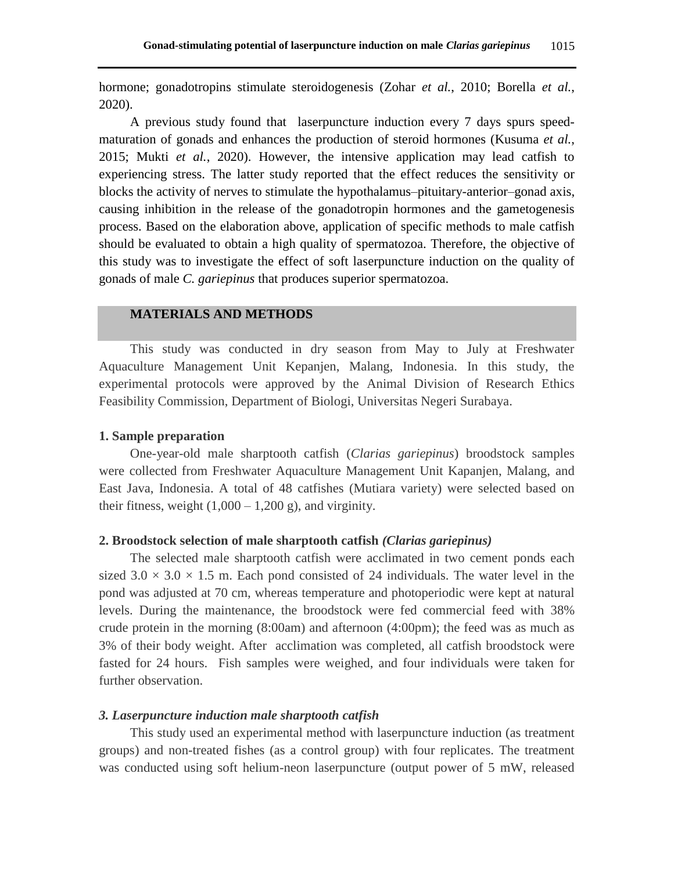hormone; gonadotropins stimulate steroidogenesis (Zohar *et al.*, 2010; Borella *et al.*, 2020).

A previous study found that laserpuncture induction every 7 days spurs speedmaturation of gonads and enhances the production of steroid hormones (Kusuma *et al.*, 2015; Mukti *et al.*, 2020). However, the intensive application may lead catfish to experiencing stress. The latter study reported that the effect reduces the sensitivity or blocks the activity of nerves to stimulate the hypothalamus–pituitary-anterior–gonad axis, causing inhibition in the release of the gonadotropin hormones and the gametogenesis process. Based on the elaboration above, application of specific methods to male catfish should be evaluated to obtain a high quality of spermatozoa. Therefore, the objective of this study was to investigate the effect of soft laserpuncture induction on the quality of gonads of male *C. gariepinus* that produces superior spermatozoa.

# **MATERIALS AND METHODS**

This study was conducted in dry season from May to July at Freshwater Aquaculture Management Unit Kepanjen, Malang, Indonesia. In this study, the experimental protocols were approved by the Animal Division of Research Ethics Feasibility Commission, Department of Biologi, Universitas Negeri Surabaya.

# **1. Sample preparation**

One-year-old male sharptooth catfish (*Clarias gariepinus*) broodstock samples were collected from Freshwater Aquaculture Management Unit Kapanjen, Malang, and East Java, Indonesia. A total of 48 catfishes (Mutiara variety) were selected based on their fitness, weight  $(1,000 - 1,200$  g), and virginity.

### **2. Broodstock selection of male sharptooth catfish** *(Clarias gariepinus)*

The selected male sharptooth catfish were acclimated in two cement ponds each sized  $3.0 \times 3.0 \times 1.5$  m. Each pond consisted of 24 individuals. The water level in the pond was adjusted at 70 cm, whereas temperature and photoperiodic were kept at natural levels. During the maintenance, the broodstock were fed commercial feed with 38% crude protein in the morning (8:00am) and afternoon (4:00pm); the feed was as much as 3% of their body weight. After acclimation was completed, all catfish broodstock were fasted for 24 hours. Fish samples were weighed, and four individuals were taken for further observation.

# *3. Laserpuncture induction male sharptooth catfish*

This study used an experimental method with laserpuncture induction (as treatment groups) and non-treated fishes (as a control group) with four replicates. The treatment was conducted using soft helium-neon laserpuncture (output power of 5 mW, released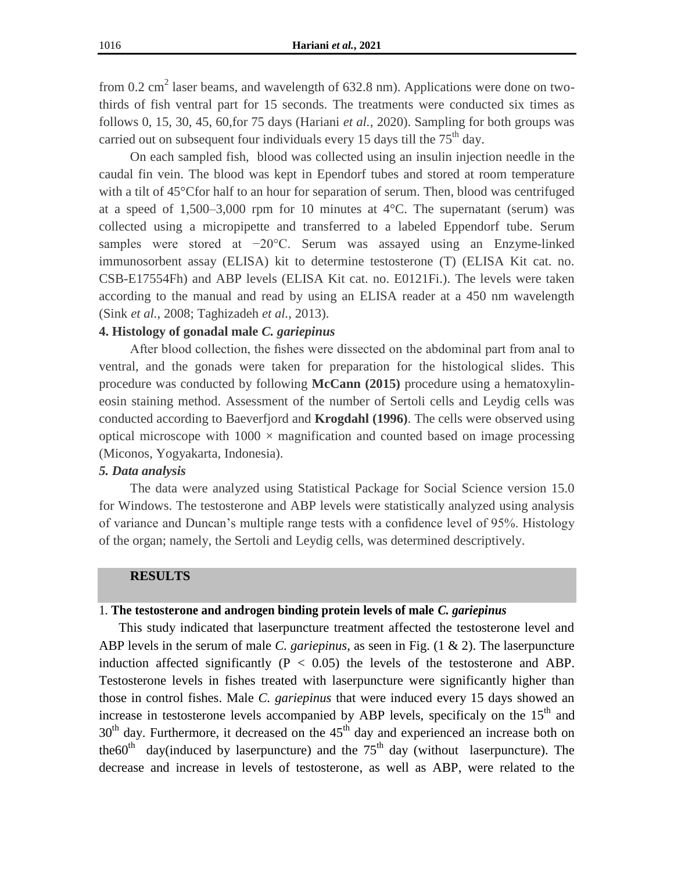from 0.2  $\text{cm}^2$  laser beams, and wavelength of 632.8 nm). Applications were done on twothirds of fish ventral part for 15 seconds. The treatments were conducted six times as follows 0, 15, 30, 45, 60,for 75 days (Hariani *et al.*, 2020). Sampling for both groups was carried out on subsequent four individuals every 15 days till the  $75<sup>th</sup>$  day.

On each sampled fish, blood was collected using an insulin injection needle in the caudal fin vein. The blood was kept in Ependorf tubes and stored at room temperature with a tilt of 45°Cfor half to an hour for separation of serum. Then, blood was centrifuged at a speed of  $1,500-3,000$  rpm for 10 minutes at  $4^{\circ}$ C. The supernatant (serum) was collected using a micropipette and transferred to a labeled Eppendorf tube. Serum samples were stored at −20°C. Serum was assayed using an Enzyme-linked immunosorbent assay (ELISA) kit to determine testosterone (T) (ELISA Kit cat. no. CSB-E17554Fh) and ABP levels (ELISA Kit cat. no. E0121Fi.). The levels were taken according to the manual and read by using an ELISA reader at a 450 nm wavelength (Sink *et al.*, 2008; Taghizadeh *et al.*, 2013).

#### **4. Histology of gonadal male** *C. gariepinus*

After blood collection, the fishes were dissected on the abdominal part from anal to ventral, and the gonads were taken for preparation for the histological slides. This procedure was conducted by following **McCann (2015)** procedure using a hematoxylineosin staining method. Assessment of the number of Sertoli cells and Leydig cells was conducted according to Baeverfjord and **Krogdahl (1996)**. The cells were observed using optical microscope with  $1000 \times$  magnification and counted based on image processing (Miconos, Yogyakarta, Indonesia).

### *5. Data analysis*

The data were analyzed using Statistical Package for Social Science version 15.0 for Windows. The testosterone and ABP levels were statistically analyzed using analysis of variance and Duncan's multiple range tests with a confidence level of 95%. Histology of the organ; namely, the Sertoli and Leydig cells, was determined descriptively.

#### **RESULTS**

#### 1. **The testosterone and androgen binding protein levels of male** *C. gariepinus*

This study indicated that laserpuncture treatment affected the testosterone level and ABP levels in the serum of male *C. gariepinus*, as seen in Fig. (1 & 2). The laserpuncture induction affected significantly  $(P < 0.05)$  the levels of the testosterone and ABP. Testosterone levels in fishes treated with laserpuncture were significantly higher than those in control fishes. Male *C. gariepinus* that were induced every 15 days showed an increase in testosterone levels accompanied by ABP levels, specificaly on the 15<sup>th</sup> and  $30<sup>th</sup>$  day. Furthermore, it decreased on the  $45<sup>th</sup>$  day and experienced an increase both on the 60<sup>th</sup> day(induced by laserpuncture) and the  $75<sup>th</sup>$  day (without laserpuncture). The decrease and increase in levels of testosterone, as well as ABP, were related to the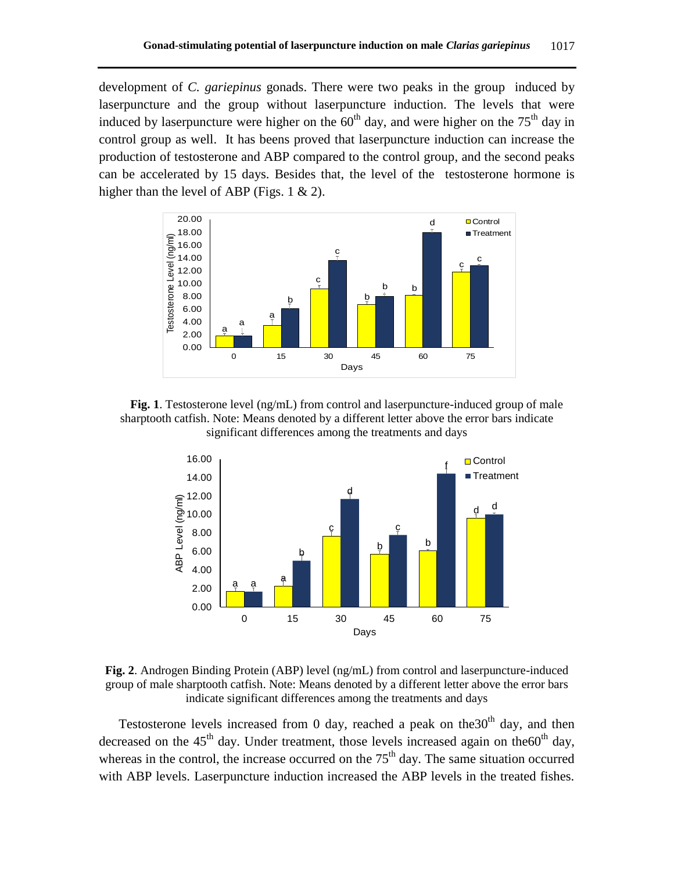development of *C. gariepinus* gonads. There were two peaks in the group induced by laserpuncture and the group without laserpuncture induction. The levels that were induced by laserpuncture were higher on the  $60<sup>th</sup>$  day, and were higher on the  $75<sup>th</sup>$  day in control group as well. It has beens proved that laserpuncture induction can increase the production of testosterone and ABP compared to the control group, and the second peaks can be accelerated by 15 days. Besides that, the level of the testosterone hormone is higher than the level of ABP (Figs.  $1 \& 2$ ).



**Fig. 1**. Testosterone level (ng/mL) from control and laserpuncture-induced group of male sharptooth catfish. Note: Means denoted by a different letter above the error bars indicate significant differences among the treatments and days



**Fig. 2**. Androgen Binding Protein (ABP) level (ng/mL) from control and laserpuncture-induced group of male sharptooth catfish. Note: Means denoted by a different letter above the error bars indicate significant differences among the treatments and days

Testosterone levels increased from 0 day, reached a peak on the 30<sup>th</sup> day, and then decreased on the  $45<sup>th</sup>$  day. Under treatment, those levels increased again on the 60<sup>th</sup> day, whereas in the control, the increase occurred on the  $75<sup>th</sup>$  day. The same situation occurred with ABP levels. Laserpuncture induction increased the ABP levels in the treated fishes.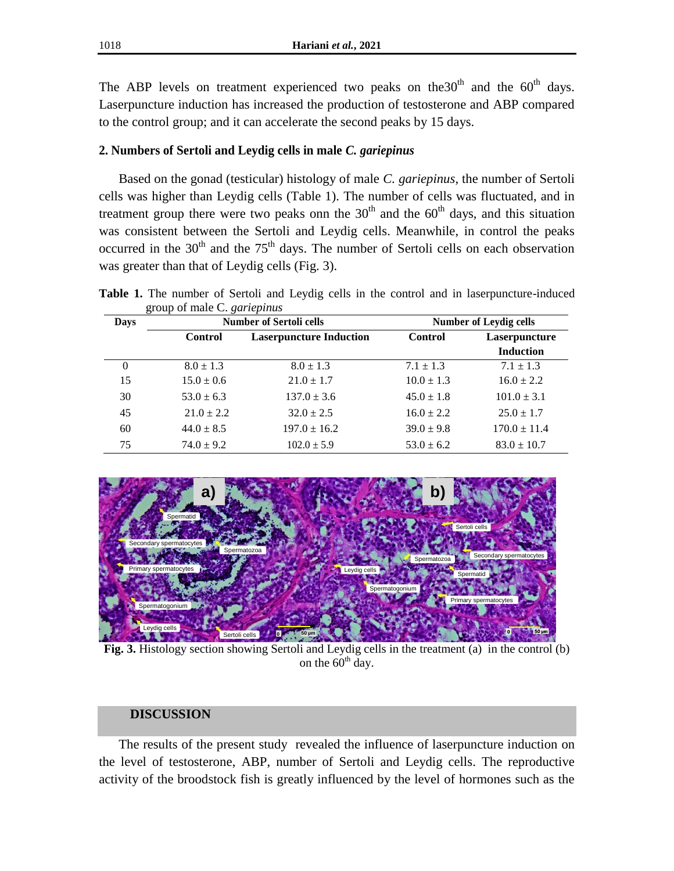The ABP levels on treatment experienced two peaks on the 30<sup>th</sup> and the  $60<sup>th</sup>$  days. Laserpuncture induction has increased the production of testosterone and ABP compared to the control group; and it can accelerate the second peaks by 15 days.

# **2. Numbers of Sertoli and Leydig cells in male** *C. gariepinus*

Based on the gonad (testicular) histology of male *C. gariepinus*, the number of Sertoli cells was higher than Leydig cells (Table 1). The number of cells was fluctuated, and in treatment group there were two peaks onn the  $30<sup>th</sup>$  and the  $60<sup>th</sup>$  days, and this situation was consistent between the Sertoli and Leydig cells. Meanwhile, in control the peaks occurred in the  $30<sup>th</sup>$  and the  $75<sup>th</sup>$  days. The number of Sertoli cells on each observation was greater than that of Leydig cells (Fig. 3).

**Table 1.** The number of Sertoli and Leydig cells in the control and in laserpuncture-induced group of male C. *gariepinus*

| Days | <b>Number of Sertoli cells</b> |                                | <b>Number of Leydig cells</b> |                  |
|------|--------------------------------|--------------------------------|-------------------------------|------------------|
|      | <b>Control</b>                 | <b>Laserpuncture Induction</b> | <b>Control</b>                | Laserpuncture    |
|      |                                |                                |                               | <b>Induction</b> |
| 0    | $8.0 \pm 1.3$                  | $8.0 \pm 1.3$                  | $7.1 \pm 1.3$                 | $7.1 \pm 1.3$    |
| 15   | $15.0 \pm 0.6$                 | $21.0 \pm 1.7$                 | $10.0 \pm 1.3$                | $16.0 \pm 2.2$   |
| 30   | $53.0 \pm 6.3$                 | $137.0 \pm 3.6$                | $45.0 \pm 1.8$                | $101.0 \pm 3.1$  |
| 45   | $21.0 \pm 2.2$                 | $32.0 \pm 2.5$                 | $16.0 \pm 2.2$                | $25.0 \pm 1.7$   |
| 60   | $44.0 \pm 8.5$                 | $197.0 \pm 16.2$               | $39.0 \pm 9.8$                | $170.0 \pm 11.4$ |
| 75   | $74.0 \pm 9.2$                 | $102.0 \pm 5.9$                | $53.0 \pm 6.2$                | $83.0 \pm 10.7$  |



**Fig. 3.** Histology section showing Sertoli and Leydig cells in the treatment (a) in the control (b) on the  $60<sup>th</sup>$  day.

# **DISCUSSION**

The results of the present study revealed the influence of laserpuncture induction on the level of testosterone, ABP, number of Sertoli and Leydig cells. The reproductive activity of the broodstock fish is greatly influenced by the level of hormones such as the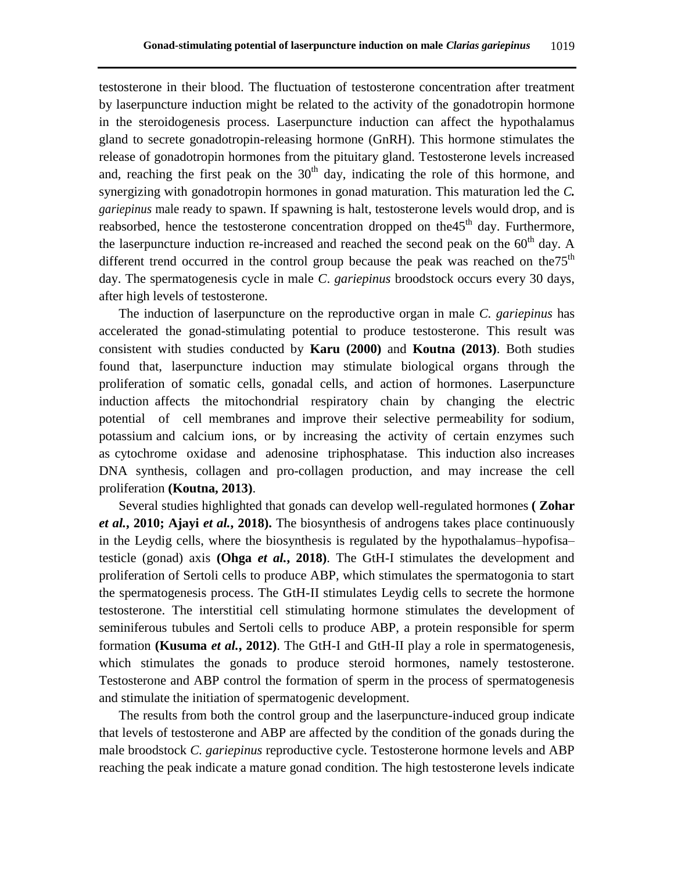testosterone in their blood. The fluctuation of testosterone concentration after treatment by laserpuncture induction might be related to the activity of the gonadotropin hormone in the steroidogenesis process. Laserpuncture induction can affect the hypothalamus gland to secrete gonadotropin-releasing hormone (GnRH). This hormone stimulates the release of gonadotropin hormones from the pituitary gland. Testosterone levels increased and, reaching the first peak on the  $30<sup>th</sup>$  day, indicating the role of this hormone, and synergizing with gonadotropin hormones in gonad maturation. This maturation led the *C. gariepinus* male ready to spawn. If spawning is halt, testosterone levels would drop, and is reabsorbed, hence the testosterone concentration dropped on the 45<sup>th</sup> day. Furthermore, the laserpuncture induction re-increased and reached the second peak on the  $60<sup>th</sup>$  day. A different trend occurred in the control group because the peak was reached on the  $75<sup>th</sup>$ day. The spermatogenesis cycle in male *C*. *gariepinus* broodstock occurs every 30 days, after high levels of testosterone.

The induction of laserpuncture on the reproductive organ in male *C. gariepinus* has accelerated the gonad-stimulating potential to produce testosterone. This result was consistent with studies conducted by **Karu (2000)** and **Koutna (2013)**. Both studies found that, laserpuncture induction may stimulate biological organs through the proliferation of somatic cells, gonadal cells, and action of hormones. Laserpuncture induction affects the mitochondrial respiratory chain by changing the electric potential of cell membranes and improve their selective permeability for sodium, potassium and calcium ions, or by increasing the activity of certain enzymes such as cytochrome oxidase and adenosine triphosphatase. This induction also increases DNA synthesis, collagen and pro-collagen production, and may increase the cell proliferation **(Koutna, 2013)**.

Several studies highlighted that gonads can develop well-regulated hormones **( Zohar**  *et al.***, 2010; Ajayi** *et al.***, 2018).** The biosynthesis of androgens takes place continuously in the Leydig cells, where the biosynthesis is regulated by the hypothalamus–hypofisa– testicle (gonad) axis **(Ohga** *et al.***, 2018)**. The GtH-I stimulates the development and proliferation of Sertoli cells to produce ABP, which stimulates the spermatogonia to start the spermatogenesis process. The GtH-II stimulates Leydig cells to secrete the hormone testosterone. The interstitial cell stimulating hormone stimulates the development of seminiferous tubules and Sertoli cells to produce ABP, a protein responsible for sperm formation **(Kusuma** *et al.***, 2012)**. The GtH-I and GtH-II play a role in spermatogenesis, which stimulates the gonads to produce steroid hormones, namely testosterone. Testosterone and ABP control the formation of sperm in the process of spermatogenesis and stimulate the initiation of spermatogenic development.

The results from both the control group and the laserpuncture-induced group indicate that levels of testosterone and ABP are affected by the condition of the gonads during the male broodstock *C. gariepinus* reproductive cycle. Testosterone hormone levels and ABP reaching the peak indicate a mature gonad condition. The high testosterone levels indicate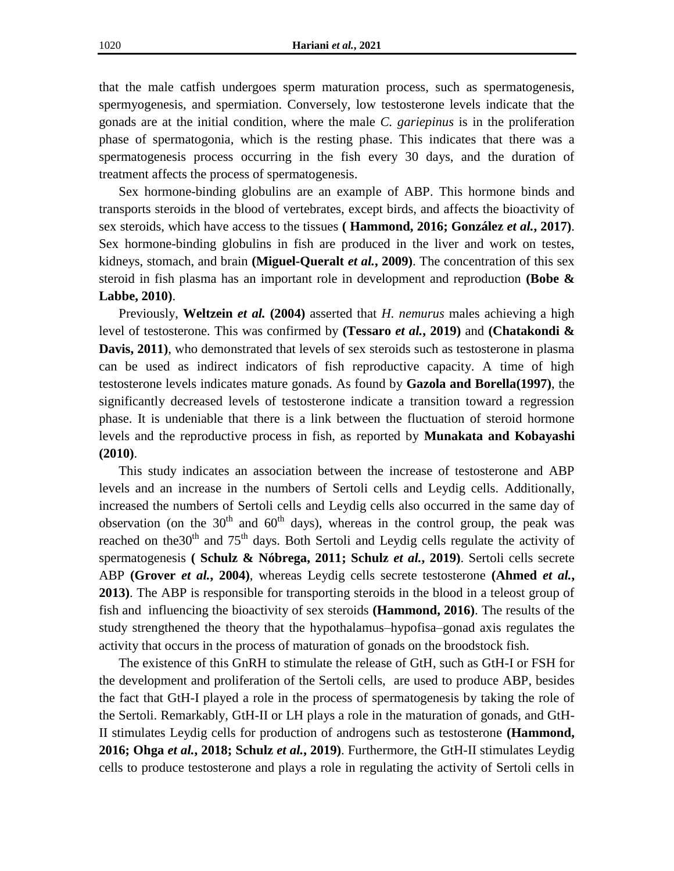that the male catfish undergoes sperm maturation process, such as spermatogenesis, spermyogenesis, and spermiation. Conversely, low testosterone levels indicate that the gonads are at the initial condition, where the male *C. gariepinus* is in the proliferation phase of spermatogonia, which is the resting phase. This indicates that there was a spermatogenesis process occurring in the fish every 30 days, and the duration of treatment affects the process of spermatogenesis.

Sex hormone-binding globulins are an example of ABP. This hormone binds and transports steroids in the blood of vertebrates, except birds, and affects the bioactivity of sex steroids, which have access to the tissues **( Hammond, 2016; González** *et al.***, 2017)**. Sex hormone-binding globulins in fish are produced in the liver and work on testes, kidneys, stomach, and brain **(Miguel-Queralt** *et al.***, 2009)**. The concentration of this sex steroid in fish plasma has an important role in development and reproduction **(Bobe & Labbe, 2010)**.

Previously, **Weltzein** *et al.* **(2004)** asserted that *H. nemurus* males achieving a high level of testosterone. This was confirmed by **(Tessaro** *et al.***, 2019)** and **(Chatakondi & Davis, 2011)**, who demonstrated that levels of sex steroids such as testosterone in plasma can be used as indirect indicators of fish reproductive capacity. A time of high testosterone levels indicates mature gonads. As found by **Gazola and Borella(1997)**, the significantly decreased levels of testosterone indicate a transition toward a regression phase. It is undeniable that there is a link between the fluctuation of steroid hormone levels and the reproductive process in fish, as reported by **Munakata and Kobayashi (2010)**.

This study indicates an association between the increase of testosterone and ABP levels and an increase in the numbers of Sertoli cells and Leydig cells. Additionally, increased the numbers of Sertoli cells and Leydig cells also occurred in the same day of observation (on the  $30<sup>th</sup>$  and  $60<sup>th</sup>$  days), whereas in the control group, the peak was reached on the 30<sup>th</sup> and 75<sup>th</sup> days. Both Sertoli and Leydig cells regulate the activity of spermatogenesis **( Schulz & Nóbrega, 2011; Schulz** *et al.***, 2019)**. Sertoli cells secrete ABP **(Grover** *et al.***, 2004)**, whereas Leydig cells secrete testosterone **(Ahmed** *et al.***, 2013)**. The ABP is responsible for transporting steroids in the blood in a teleost group of fish and influencing the bioactivity of sex steroids **(Hammond, 2016)**. The results of the study strengthened the theory that the hypothalamus–hypofisa–gonad axis regulates the activity that occurs in the process of maturation of gonads on the broodstock fish.

The existence of this GnRH to stimulate the release of GtH, such as GtH-I or FSH for the development and proliferation of the Sertoli cells, are used to produce ABP, besides the fact that GtH-I played a role in the process of spermatogenesis by taking the role of the Sertoli. Remarkably, GtH-II or LH plays a role in the maturation of gonads, and GtH-II stimulates Leydig cells for production of androgens such as testosterone **(Hammond, 2016; Ohga** *et al.***, 2018; Schulz** *et al.***, 2019)**. Furthermore, the GtH-II stimulates Leydig cells to produce testosterone and plays a role in regulating the activity of Sertoli cells in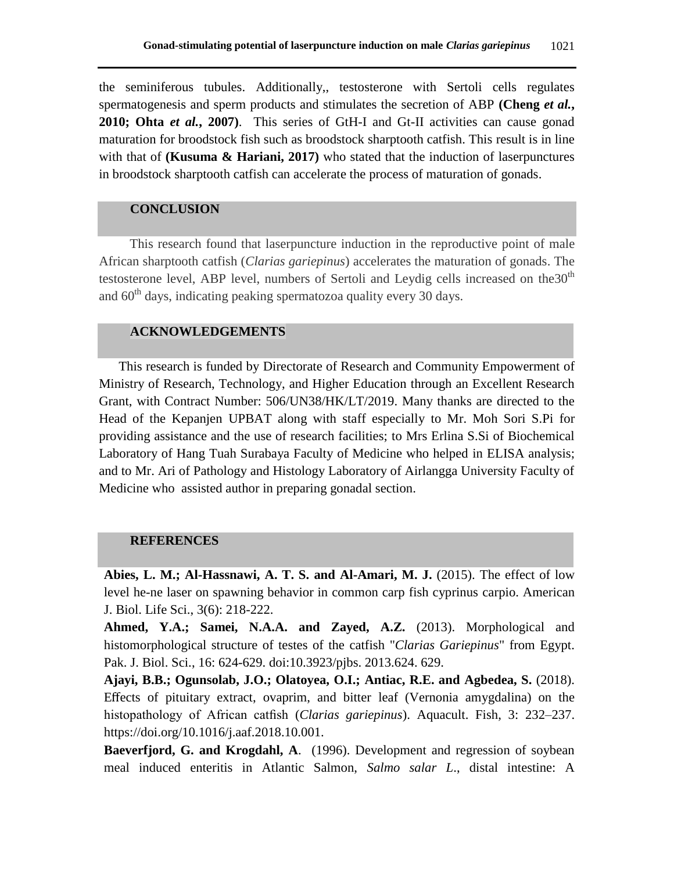the seminiferous tubules. Additionally,, testosterone with Sertoli cells regulates spermatogenesis and sperm products and stimulates the secretion of ABP **(Cheng** *et al.***, 2010; Ohta** *et al.***, 2007)**. This series of GtH-I and Gt-II activities can cause gonad maturation for broodstock fish such as broodstock sharptooth catfish. This result is in line with that of **(Kusuma & Hariani, 2017)** who stated that the induction of laserpunctures in broodstock sharptooth catfish can accelerate the process of maturation of gonads.

# **CONCLUSION**

This research found that laserpuncture induction in the reproductive point of male African sharptooth catfish (*Clarias gariepinus*) accelerates the maturation of gonads. The testosterone level, ABP level, numbers of Sertoli and Leydig cells increased on the $30<sup>th</sup>$ and  $60<sup>th</sup>$  days, indicating peaking spermatozoa quality every 30 days.

# **ACKNOWLEDGEMENTS**

This research is funded by Directorate of Research and Community Empowerment of Ministry of Research, Technology, and Higher Education through an Excellent Research Grant, with Contract Number: 506/UN38/HK/LT/2019. Many thanks are directed to the Head of the Kepanjen UPBAT along with staff especially to Mr. Moh Sori S.Pi for providing assistance and the use of research facilities; to Mrs Erlina S.Si of Biochemical Laboratory of Hang Tuah Surabaya Faculty of Medicine who helped in ELISA analysis; and to Mr. Ari of Pathology and Histology Laboratory of Airlangga University Faculty of Medicine who assisted author in preparing gonadal section.

### **REFERENCES**

**Abies, L. M.; Al-Hassnawi, A. T. S. and Al-Amari, M. J.** (2015). The effect of low level he-ne laser on spawning behavior in common carp fish cyprinus carpio. American J. Biol. Life Sci., 3(6): 218-222.

**Ahmed, Y.A.; Samei, N.A.A. and Zayed, A.Z.** (2013). Morphological and histomorphological structure of testes of the catfish "*Clarias Gariepinus*" from Egypt. Pak. J. Biol. Sci., 16: 624-629. doi:10.3923/pjbs. 2013.624. 629.

**Ajayi, B.B.; Ogunsolab, J.O.; Olatoyea, O.I.; Antiac, R.E. and Agbedea, S.** (2018). Effects of pituitary extract, ovaprim, and bitter leaf (Vernonia amygdalina) on the histopathology of African catfish (*Clarias gariepinus*). Aquacult. Fish, 3: 232–237. https://doi.org/10.1016/j.aaf.2018.10.001.

**Baeverfjord, G. and Krogdahl, A**. (1996). Development and regression of soybean meal induced enteritis in Atlantic Salmon, *Salmo salar L*., distal intestine: A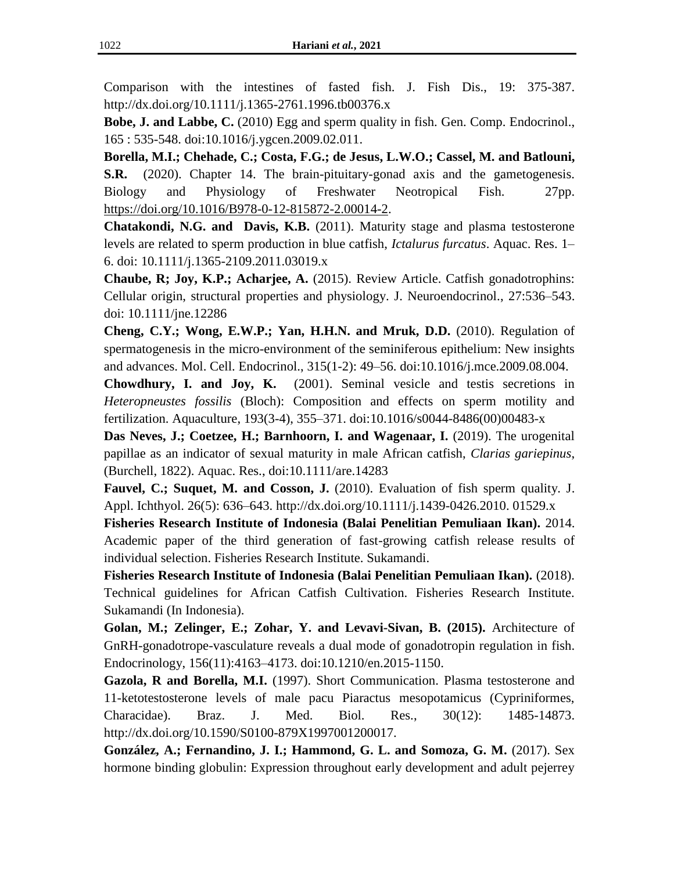Comparison with the intestines of fasted fish. J. Fish Dis., 19: 375-387. http://dx.doi.org/10.1111/j.1365-2761.1996.tb00376.x

**Bobe, J. and Labbe, C.** (2010) Egg and sperm quality in fish. Gen. Comp. Endocrinol., 165 : 535-548. doi:10.1016/j.ygcen.2009.02.011.

**Borella, M.I.; Chehade, C.; Costa, F.G.; de Jesus, L.W.O.; Cassel, M. and Batlouni, S.R.** (2020). Chapter 14. The brain-pituitary-gonad axis and the gametogenesis. Biology and Physiology of Freshwater Neotropical Fish. 27pp. [https://doi.org/10.1016/B978-0-12-815872-2.00014-2.](https://doi.org/10.1016/B978-0-12-815872-2.00014-2)

**Chatakondi, N.G. and Davis, K.B.** (2011). Maturity stage and plasma testosterone levels are related to sperm production in blue catfish, *Ictalurus furcatus*. Aquac. Res. 1– 6. doi: 10.1111/j.1365-2109.2011.03019.x

**Chaube, R; Joy, K.P.; Acharjee, A.** (2015). Review Article. Catfish gonadotrophins: Cellular origin, structural properties and physiology. J. Neuroendocrinol., 27:536–543. doi: 10.1111/jne.12286

**Cheng, C.Y.; Wong, E.W.P.; Yan, H.H.N. and Mruk, D.D.** (2010). Regulation of spermatogenesis in the micro-environment of the seminiferous epithelium: New insights and advances. Mol. Cell. Endocrinol., 315(1-2): 49–56. doi:10.1016/j.mce.2009.08.004.

**Chowdhury, I. and Joy, K.** (2001). Seminal vesicle and testis secretions in *Heteropneustes fossilis* (Bloch): Composition and effects on sperm motility and fertilization. Aquaculture, 193(3-4), 355–371. doi:10.1016/s0044-8486(00)00483-x

**Das Neves, J.; Coetzee, H.; Barnhoorn, I. and Wagenaar, I.** (2019). The urogenital papillae as an indicator of sexual maturity in male African catfish, *Clarias gariepinus*, (Burchell, 1822). Aquac. Res., doi:10.1111/are.14283

**Fauvel, C.; Suquet, M. and Cosson, J.** (2010). Evaluation of fish sperm quality. J. Appl. Ichthyol. 26(5): 636–643. http://dx.doi.org/10.1111/j.1439-0426.2010. 01529.x

**Fisheries Research Institute of Indonesia (Balai Penelitian Pemuliaan Ikan).** 2014. Academic paper of the third generation of fast-growing catfish release results of individual selection. Fisheries Research Institute. Sukamandi.

**Fisheries Research Institute of Indonesia (Balai Penelitian Pemuliaan Ikan).** (2018). Technical guidelines for African Catfish Cultivation. Fisheries Research Institute. Sukamandi (In Indonesia).

**Golan, M.; Zelinger, E.; Zohar, Y. and Levavi-Sivan, B. (2015).** Architecture of GnRH-gonadotrope-vasculature reveals a dual mode of gonadotropin regulation in fish. Endocrinology, 156(11):4163–4173. doi:10.1210/en.2015-1150.

**Gazola, R and Borella, M.I.** (1997). Short Communication. Plasma testosterone and 11-ketotestosterone levels of male pacu Piaractus mesopotamicus (Cypriniformes, Characidae). Braz. J. Med. Biol. Res., 30(12): 1485-14873. http://dx.doi.org/10.1590/S0100-879X1997001200017.

**González, A.; Fernandino, J. I.; Hammond, G. L. and Somoza, G. M.** (2017). Sex hormone binding globulin: Expression throughout early development and adult pejerrey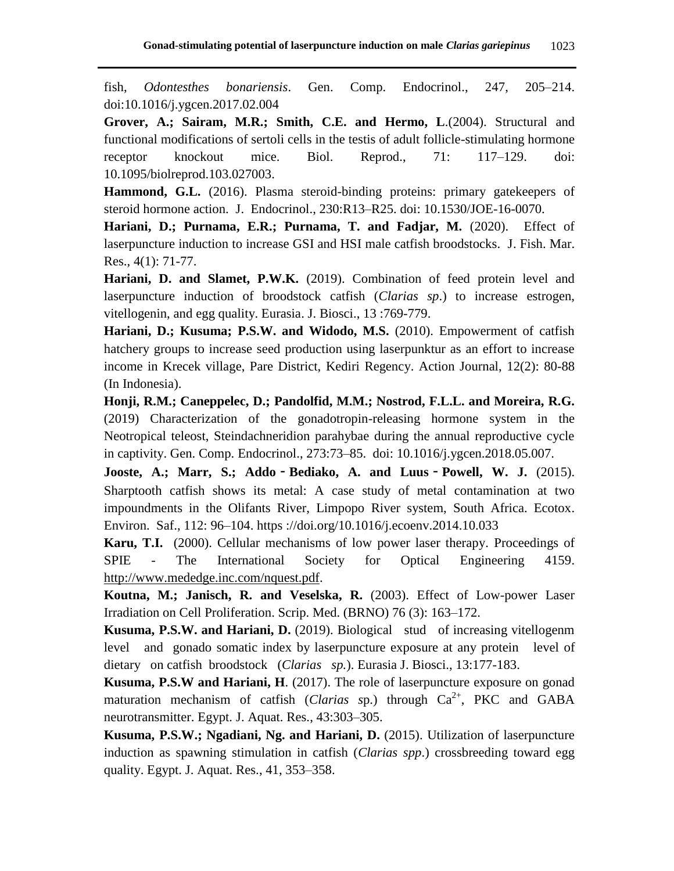fish, *Odontesthes bonariensis*. Gen. Comp. Endocrinol., 247, 205–214. doi:10.1016/j.ygcen.2017.02.004

**Grover, A.; Sairam, M.R.; Smith, C.E. and Hermo, L**.(2004). Structural and functional modifications of sertoli cells in the testis of adult follicle-stimulating hormone receptor knockout mice. Biol. Reprod., 71: 117–129. doi: 10.1095/biolreprod.103.027003.

**Hammond, G.L.** (2016). Plasma steroid-binding proteins: primary gatekeepers of steroid hormone action. J. Endocrinol., 230:R13–R25. doi: 10.1530/JOE-16-0070.

Hariani, D.; Purnama, E.R.; Purnama, T. and Fadjar, M. (2020). Effect of laserpuncture induction to increase GSI and HSI male catfish broodstocks. J. Fish. Mar. Res., 4(1): 71-77.

**Hariani, D. and Slamet, P.W.K.** (2019). Combination of feed protein level and laserpuncture induction of broodstock catfish (*Clarias sp*.) to increase estrogen, vitellogenin, and egg quality. Eurasia. J. Biosci., 13 :769-779.

**Hariani, D.; Kusuma; P.S.W. and Widodo, M.S.** (2010). Empowerment of catfish hatchery groups to increase seed production using laserpunktur as an effort to increase income in Krecek village, Pare District, Kediri Regency. Action Journal, 12(2): 80-88 (In Indonesia).

**Honji, R.M.; Caneppelec, D.; Pandolfid, M.M.; Nostrod, F.L.L. and Moreira, R.G.** (2019) Characterization of the gonadotropin-releasing hormone system in the Neotropical teleost, Steindachneridion parahybae during the annual reproductive cycle in captivity. Gen. Comp. Endocrinol., 273:73–85. doi: 10.1016/j.ygcen.2018.05.007.

**Jooste, A.; Marr, S.; Addo**‐**Bediako, A. and Luus**‐**Powell, W. J.** (2015). Sharptooth catfish shows its metal: A case study of metal contamination at two impoundments in the Olifants River, Limpopo River system, South Africa. Ecotox. Environ. Saf., 112: 96–104. https ://doi.org/10.1016/j.ecoenv.2014.10.033

**Karu, T.I.** (2000). Cellular mechanisms of low power laser therapy. Proceedings of SPIE - The International Society for Optical Engineering 4159. [http://www.mededge.inc.com/nquest.pdf.](http://www.mededge.inc.com/nquest.pdf)

**Koutna, M.; Janisch, R. and Veselska, R.** (2003). Effect of Low-power Laser Irradiation on Cell Proliferation. Scrip. Med. (BRNO) 76 (3): 163–172.

**Kusuma, P.S.W. and Hariani, D.** (2019). Biological stud of increasing vitellogenm level and gonado somatic index by laserpuncture exposure at any protein level of dietary on catfish broodstock (*Clarias sp.*). Eurasia J. Biosci., 13:177-183.

**Kusuma, P.S.W and Hariani, H**. (2017). The role of laserpuncture exposure on gonad maturation mechanism of catfish (*Clarias sp.*) through  $Ca^{2+}$ , PKC and GABA neurotransmitter. Egypt. J. Aquat. Res., 43:303–305.

**Kusuma, P.S.W.; Ngadiani, Ng. and Hariani, D.** (2015). Utilization of laserpuncture induction as spawning stimulation in catfish (*Clarias spp*.) crossbreeding toward egg quality. Egypt. J. Aquat. Res., 41, 353–358.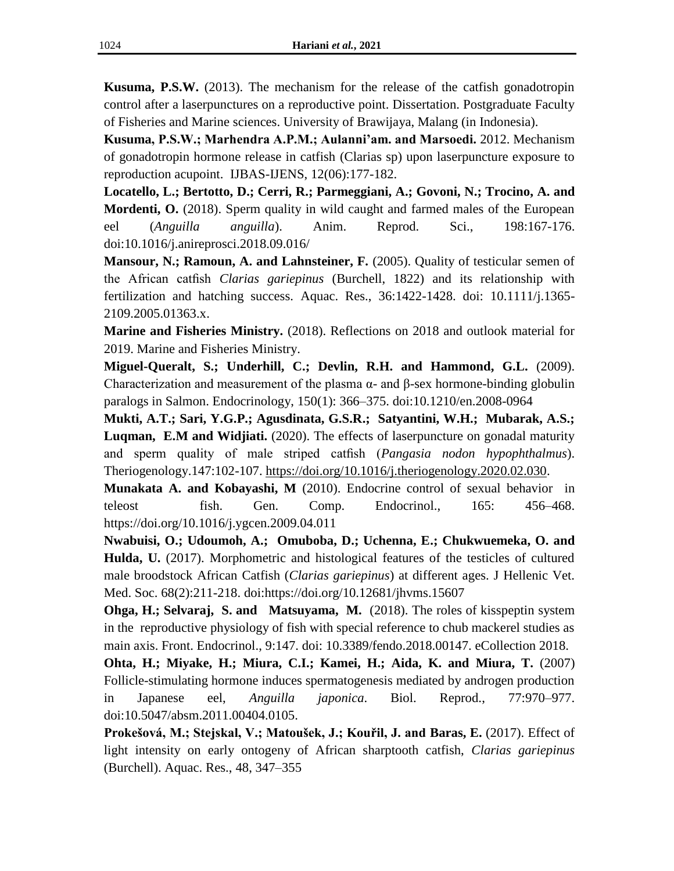**Kusuma, P.S.W.** (2013). The mechanism for the release of the catfish gonadotropin control after a laserpunctures on a reproductive point. Dissertation. Postgraduate Faculty of Fisheries and Marine sciences. University of Brawijaya, Malang (in Indonesia).

**Kusuma, P.S.W.; Marhendra A.P.M.; Aulanni'am. and Marsoedi.** 2012. Mechanism of gonadotropin hormone release in catfish (Clarias sp) upon laserpuncture exposure to reproduction acupoint. IJBAS-IJENS, 12(06):177-182.

**Locatello, L.; Bertotto, D.; Cerri, R.; Parmeggiani, A.; Govoni, N.; Trocino, A. and Mordenti, O.** (2018). Sperm quality in wild caught and farmed males of the European eel (*Anguilla anguilla*). Anim. Reprod. Sci., 198:167-176. doi:10.1016/j.anireprosci.2018.09.016/

**Mansour, N.; Ramoun, A. and Lahnsteiner, F.** (2005). Quality of testicular semen of the African catfish *Clarias gariepinus* (Burchell, 1822) and its relationship with fertilization and hatching success. Aquac. Res., 36:1422-1428. doi: 10.1111/j.1365- 2109.2005.01363.x.

**Marine and Fisheries Ministry.** (2018). Reflections on 2018 and outlook material for 2019. Marine and Fisheries Ministry.

**Miguel-Queralt, S.; Underhill, C.; Devlin, R.H. and Hammond, G.L.** (2009). Characterization and measurement of the plasma α- and β-sex hormone-binding globulin paralogs in Salmon. Endocrinology, 150(1): 366–375. doi:10.1210/en.2008-0964

**Mukti, A.T.; Sari, Y.G.P.; Agusdinata, G.S.R.; Satyantini, W.H.; Mubarak, A.S.; Luqman, E.M and Widjiati.** (2020). The effects of laserpuncture on gonadal maturity and sperm quality of male striped catfish (*Pangasia nodon hypophthalmus*). Theriogenology.147:102-107. [https://doi.org/10.1016/j.theriogenology.2020.02.030.](https://doi.org/10.1016/j.theriogenology.2020.02.030)

**Munakata A. and Kobayashi, M** (2010). Endocrine control of sexual behavior in teleost fish. Gen. Comp. Endocrinol., 165: 456–468. https://doi.org/10.1016/j.ygcen.2009.04.011

**Nwabuisi, O.; Udoumoh, A.; Omuboba, D.; Uchenna, E.; Chukwuemeka, O. and Hulda, U.** (2017). Morphometric and histological features of the testicles of cultured male broodstock African Catfish (*Clarias gariepinus*) at different ages. J Hellenic Vet. Med. Soc. 68(2):211-218. doi:https://doi.org/10.12681/jhvms.15607

**Ohga, H.; Selvaraj, S. and Matsuyama, M.** (2018). The roles of kisspeptin system in the reproductive physiology of fish with special reference to chub mackerel studies as main axis. Front. Endocrinol., 9:147. doi: 10.3389/fendo.2018.00147. eCollection 2018.

**Ohta, H.; Miyake, H.; Miura, C.I.; Kamei, H.; Aida, K. and Miura, T.** (2007) Follicle-stimulating hormone induces spermatogenesis mediated by androgen production in Japanese eel, *Anguilla japonica*. Biol. Reprod., 77:970–977. doi:10.5047/absm.2011.00404.0105.

**Prokešová, M.; Stejskal, V.; Matoušek, J.; Kouřil, J. and Baras, E.** (2017). Effect of light intensity on early ontogeny of African sharptooth catfish, *Clarias gariepinus* (Burchell). Aquac. Res., 48, 347–355